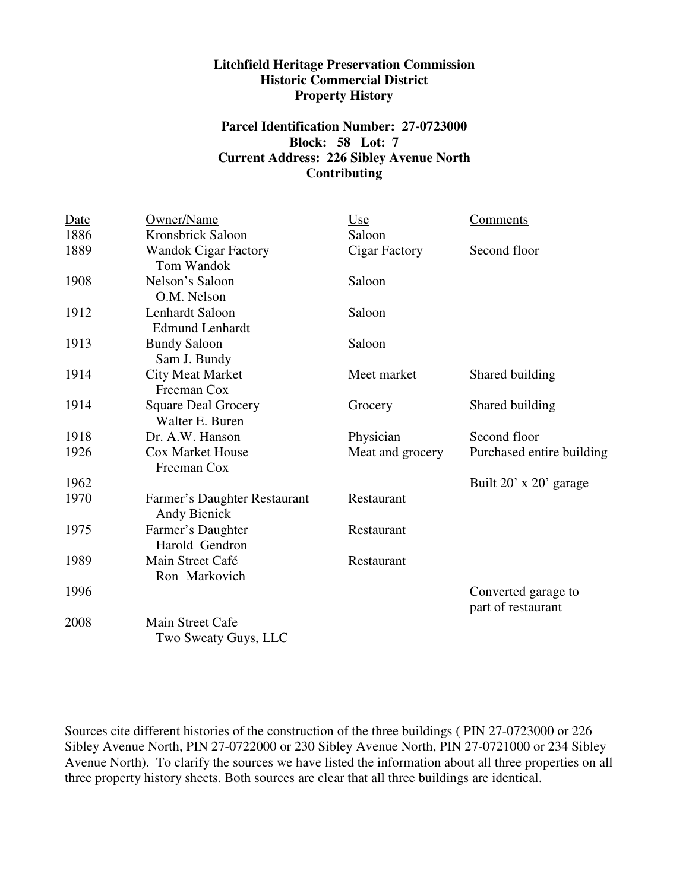## **Litchfield Heritage Preservation Commission Historic Commercial District Property History**

# **Parcel Identification Number: 27-0723000 Block: 58 Lot: 7 Current Address: 226 Sibley Avenue North Contributing**

| <b>Date</b> | Owner/Name                                          | Use              | Comments                                  |
|-------------|-----------------------------------------------------|------------------|-------------------------------------------|
| 1886        | Kronsbrick Saloon                                   | Saloon           |                                           |
| 1889        | <b>Wandok Cigar Factory</b><br>Tom Wandok           | Cigar Factory    | Second floor                              |
| 1908        | Nelson's Saloon<br>O.M. Nelson                      | Saloon           |                                           |
| 1912        | Lenhardt Saloon<br><b>Edmund Lenhardt</b>           | Saloon           |                                           |
| 1913        | <b>Bundy Saloon</b><br>Sam J. Bundy                 | Saloon           |                                           |
| 1914        | <b>City Meat Market</b><br>Freeman Cox              | Meet market      | Shared building                           |
| 1914        | <b>Square Deal Grocery</b><br>Walter E. Buren       | Grocery          | Shared building                           |
| 1918        | Dr. A.W. Hanson                                     | Physician        | Second floor                              |
| 1926        | <b>Cox Market House</b><br>Freeman Cox              | Meat and grocery | Purchased entire building                 |
| 1962        |                                                     |                  | Built 20' x 20' garage                    |
| 1970        | Farmer's Daughter Restaurant<br><b>Andy Bienick</b> | Restaurant       |                                           |
| 1975        | Farmer's Daughter<br>Harold Gendron                 | Restaurant       |                                           |
| 1989        | Main Street Café<br>Ron Markovich                   | Restaurant       |                                           |
| 1996        |                                                     |                  | Converted garage to<br>part of restaurant |
| 2008        | <b>Main Street Cafe</b><br>Two Sweaty Guys, LLC     |                  |                                           |

Sources cite different histories of the construction of the three buildings ( PIN 27-0723000 or 226 Sibley Avenue North, PIN 27-0722000 or 230 Sibley Avenue North, PIN 27-0721000 or 234 Sibley Avenue North). To clarify the sources we have listed the information about all three properties on all three property history sheets. Both sources are clear that all three buildings are identical.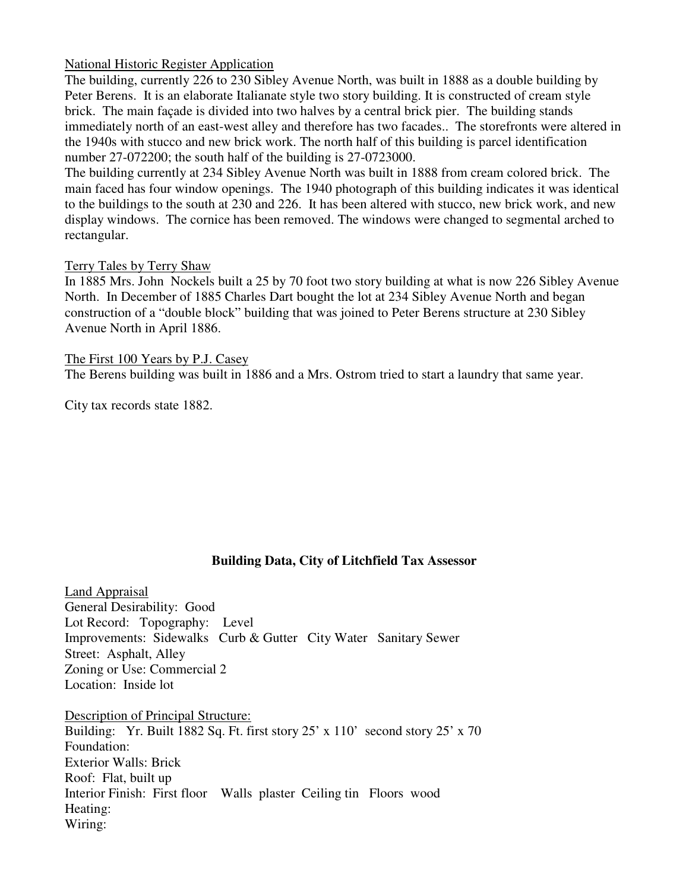# National Historic Register Application

The building, currently 226 to 230 Sibley Avenue North, was built in 1888 as a double building by Peter Berens. It is an elaborate Italianate style two story building. It is constructed of cream style brick. The main façade is divided into two halves by a central brick pier. The building stands immediately north of an east-west alley and therefore has two facades.. The storefronts were altered in the 1940s with stucco and new brick work. The north half of this building is parcel identification number 27-072200; the south half of the building is 27-0723000.

The building currently at 234 Sibley Avenue North was built in 1888 from cream colored brick. The main faced has four window openings. The 1940 photograph of this building indicates it was identical to the buildings to the south at 230 and 226. It has been altered with stucco, new brick work, and new display windows. The cornice has been removed. The windows were changed to segmental arched to rectangular.

### Terry Tales by Terry Shaw

In 1885 Mrs. John Nockels built a 25 by 70 foot two story building at what is now 226 Sibley Avenue North. In December of 1885 Charles Dart bought the lot at 234 Sibley Avenue North and began construction of a "double block" building that was joined to Peter Berens structure at 230 Sibley Avenue North in April 1886.

The First 100 Years by P.J. Casey

The Berens building was built in 1886 and a Mrs. Ostrom tried to start a laundry that same year.

City tax records state 1882.

# **Building Data, City of Litchfield Tax Assessor**

Land Appraisal General Desirability: Good Lot Record: Topography: Level Improvements: Sidewalks Curb & Gutter City Water Sanitary Sewer Street: Asphalt, Alley Zoning or Use: Commercial 2 Location: Inside lot

Description of Principal Structure: Building: Yr. Built 1882 Sq. Ft. first story  $25' \times 110'$  second story  $25' \times 70$ Foundation: Exterior Walls: Brick Roof: Flat, built up Interior Finish: First floor Walls plaster Ceiling tin Floors wood Heating: Wiring: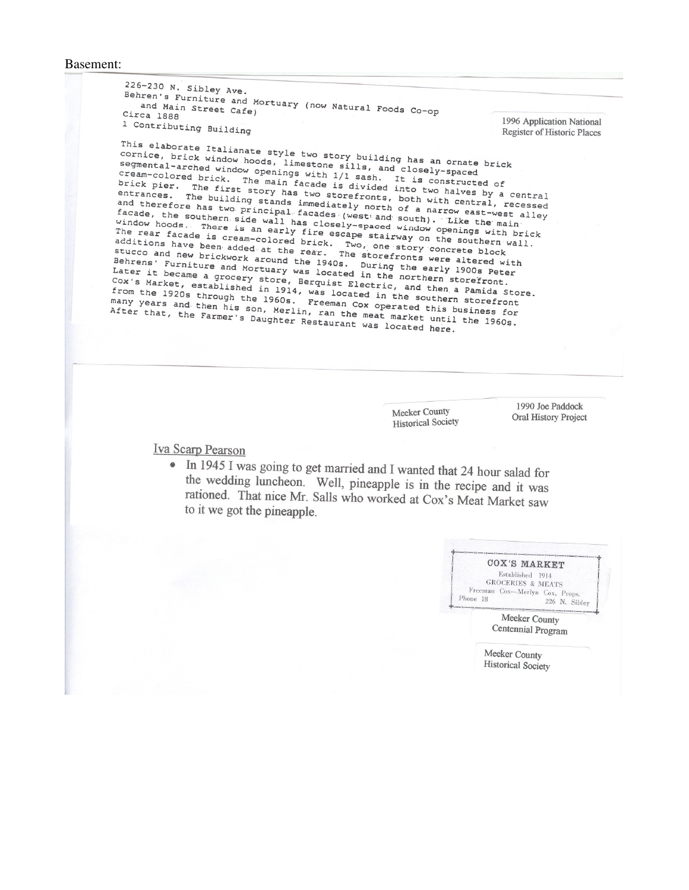#### Basement:

 $226-230$  N. Sibley Ave. Behren's Furniture and Mortuary (now Natural Foods Co-op Circa 1888 1996 Application National 1 Contributing Building **Register of Historic Places** This elaborate Italianate style two story building has an ornate brick cornice, brick window hoods, limestone sills, and closely-spaced segmental-arched window openings with 1/1 sash. It is constructed of cream-colored brick. The main facade is divided into two halves by a central brick pier. The first story has two storefronts, both with central, recessed entrances. The building stands immediately north of a narrow east-west alley and therefore has two principal facades (west and south). Like the main facade, the southern side wall has closely-spaced window openings with brick window hoods. There is an early fire escape stairway on the southern wall. The rear facade is cream-colored brick. Two, one story concrete block The rear racade is cream-colored brick. Two, one story contract block.<br>additions have been added at the rear. The storefronts were altered with stucco and new brickwork around the 1940s. During the early 1900s Peter Behrens' Furniture and Mortuary was located in the northern storefront. Later it became a grocery store, Berguist Electric, and then a Pamida Store. Cox's Market, established in 1914, was located in the southern storefront Cox s market, established in 1914, was located in the southern secretion.<br>from the 1920s through the 1960s. Freeman Cox operated this business for many years and then his son, Merlin, ran the meat market until the 1960s. After that, the Farmer's Daughter Restaurant was located here.

**Meeker County** 

**Historical Society** 

1990 Joe Paddock **Oral History Project** 

#### **Iva Scarp Pearson**

• In 1945 I was going to get married and I wanted that 24 hour salad for the wedding luncheon. Well, pineapple is in the recipe and it was rationed. That nice Mr. Salls who worked at Cox's Meat Market saw to it we got the pineapple.

|          | COX'S MARKET                 |                                |
|----------|------------------------------|--------------------------------|
|          | Established 1914             |                                |
|          | <b>GROCERIES &amp; MEATS</b> |                                |
|          |                              | Freeman Cox-Merlyn Cox, Props. |
| Phone 18 |                              | 226 N. Siblev                  |

Meeker County Centennial Program

Meeker County **Historical Society**